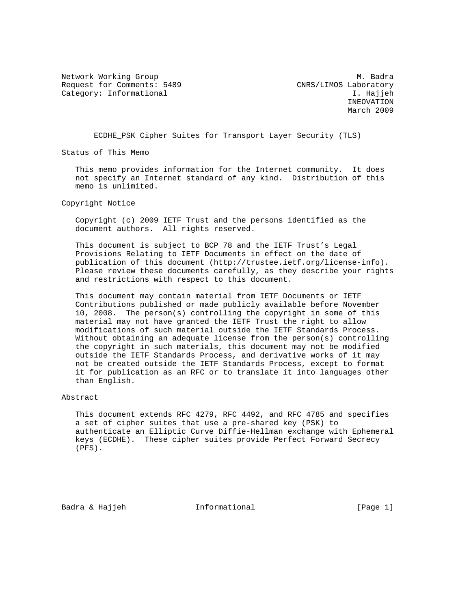Network Working Group Manuscript and Manuscript Manuscript Manuscript Manuscript Manuscript Manuscript Manuscri Request for Comments: 5489 CNRS/LIMOS Laboratory Category: Informational interests of the category: I. Hajjeh

 INEOVATION March 2009

ECDHE\_PSK Cipher Suites for Transport Layer Security (TLS)

Status of This Memo

 This memo provides information for the Internet community. It does not specify an Internet standard of any kind. Distribution of this memo is unlimited.

Copyright Notice

 Copyright (c) 2009 IETF Trust and the persons identified as the document authors. All rights reserved.

 This document is subject to BCP 78 and the IETF Trust's Legal Provisions Relating to IETF Documents in effect on the date of publication of this document (http://trustee.ietf.org/license-info). Please review these documents carefully, as they describe your rights and restrictions with respect to this document.

 This document may contain material from IETF Documents or IETF Contributions published or made publicly available before November 10, 2008. The person(s) controlling the copyright in some of this material may not have granted the IETF Trust the right to allow modifications of such material outside the IETF Standards Process. Without obtaining an adequate license from the person(s) controlling the copyright in such materials, this document may not be modified outside the IETF Standards Process, and derivative works of it may not be created outside the IETF Standards Process, except to format it for publication as an RFC or to translate it into languages other than English.

## Abstract

 This document extends RFC 4279, RFC 4492, and RFC 4785 and specifies a set of cipher suites that use a pre-shared key (PSK) to authenticate an Elliptic Curve Diffie-Hellman exchange with Ephemeral keys (ECDHE). These cipher suites provide Perfect Forward Secrecy (PFS).

Badra & Hajjeh **Informational** [Page 1]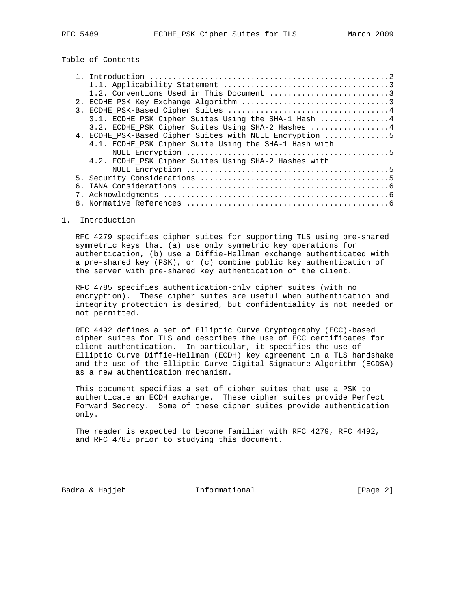# Table of Contents

|  | 1.2. Conventions Used in This Document 3                |  |  |  |  |  |  |  |
|--|---------------------------------------------------------|--|--|--|--|--|--|--|
|  |                                                         |  |  |  |  |  |  |  |
|  |                                                         |  |  |  |  |  |  |  |
|  | 3.1. ECDHE PSK Cipher Suites Using the SHA-1 Hash 4     |  |  |  |  |  |  |  |
|  | 3.2. ECDHE PSK Cipher Suites Using SHA-2 Hashes 4       |  |  |  |  |  |  |  |
|  | 4. ECDHE PSK-Based Cipher Suites with NULL Encryption 5 |  |  |  |  |  |  |  |
|  | 4.1. ECDHE PSK Cipher Suite Using the SHA-1 Hash with   |  |  |  |  |  |  |  |
|  |                                                         |  |  |  |  |  |  |  |
|  | 4.2. ECDHE PSK Cipher Suites Using SHA-2 Hashes with    |  |  |  |  |  |  |  |
|  |                                                         |  |  |  |  |  |  |  |
|  |                                                         |  |  |  |  |  |  |  |
|  |                                                         |  |  |  |  |  |  |  |
|  |                                                         |  |  |  |  |  |  |  |
|  |                                                         |  |  |  |  |  |  |  |

#### 1. Introduction

 RFC 4279 specifies cipher suites for supporting TLS using pre-shared symmetric keys that (a) use only symmetric key operations for authentication, (b) use a Diffie-Hellman exchange authenticated with a pre-shared key (PSK), or (c) combine public key authentication of the server with pre-shared key authentication of the client.

 RFC 4785 specifies authentication-only cipher suites (with no encryption). These cipher suites are useful when authentication and integrity protection is desired, but confidentiality is not needed or not permitted.

 RFC 4492 defines a set of Elliptic Curve Cryptography (ECC)-based cipher suites for TLS and describes the use of ECC certificates for client authentication. In particular, it specifies the use of Elliptic Curve Diffie-Hellman (ECDH) key agreement in a TLS handshake and the use of the Elliptic Curve Digital Signature Algorithm (ECDSA) as a new authentication mechanism.

 This document specifies a set of cipher suites that use a PSK to authenticate an ECDH exchange. These cipher suites provide Perfect Forward Secrecy. Some of these cipher suites provide authentication only.

 The reader is expected to become familiar with RFC 4279, RFC 4492, and RFC 4785 prior to studying this document.

Badra & Hajjeh **Informational** [Page 2]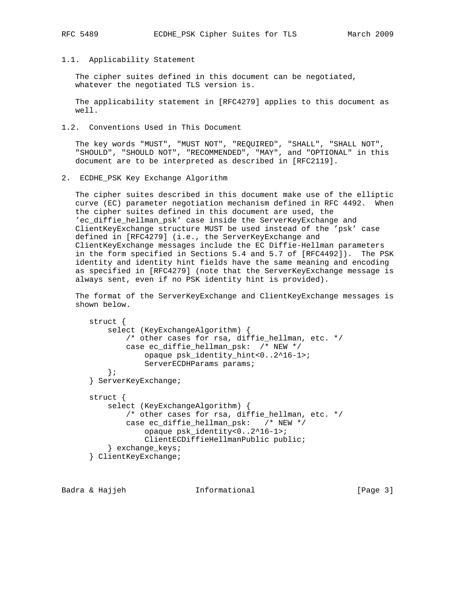### 1.1. Applicability Statement

 The cipher suites defined in this document can be negotiated, whatever the negotiated TLS version is.

 The applicability statement in [RFC4279] applies to this document as well.

1.2. Conventions Used in This Document

 The key words "MUST", "MUST NOT", "REQUIRED", "SHALL", "SHALL NOT", "SHOULD", "SHOULD NOT", "RECOMMENDED", "MAY", and "OPTIONAL" in this document are to be interpreted as described in [RFC2119].

2. ECDHE\_PSK Key Exchange Algorithm

 The cipher suites described in this document make use of the elliptic curve (EC) parameter negotiation mechanism defined in RFC 4492. When the cipher suites defined in this document are used, the 'ec\_diffie\_hellman\_psk' case inside the ServerKeyExchange and ClientKeyExchange structure MUST be used instead of the 'psk' case defined in [RFC4279] (i.e., the ServerKeyExchange and ClientKeyExchange messages include the EC Diffie-Hellman parameters in the form specified in Sections 5.4 and 5.7 of [RFC4492]). The PSK identity and identity hint fields have the same meaning and encoding as specified in [RFC4279] (note that the ServerKeyExchange message is always sent, even if no PSK identity hint is provided).

 The format of the ServerKeyExchange and ClientKeyExchange messages is shown below.

```
 struct {
   select (KeyExchangeAlgorithm) {
       /* other cases for rsa, diffie_hellman, etc. */
       case ec_diffie_hellman_psk: /* NEW */
            opaque psk_identity_hint<0..2^16-1>;
            ServerECDHParams params;
    };
} ServerKeyExchange;
struct {
    select (KeyExchangeAlgorithm) {
       /* other cases for rsa, diffie_hellman, etc. */
        case ec_diffie_hellman_psk: /* NEW */
            opaque psk_identity<0..2^16-1>;
            ClientECDiffieHellmanPublic public;
    } exchange_keys;
} ClientKeyExchange;
```
Badra & Hajjeh **Informational** [Page 3]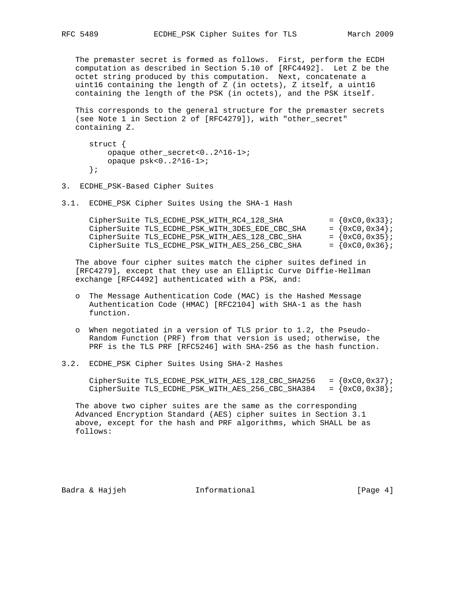The premaster secret is formed as follows. First, perform the ECDH computation as described in Section 5.10 of [RFC4492]. Let Z be the octet string produced by this computation. Next, concatenate a uint16 containing the length of Z (in octets), Z itself, a uint16 containing the length of the PSK (in octets), and the PSK itself.

 This corresponds to the general structure for the premaster secrets (see Note 1 in Section 2 of [RFC4279]), with "other\_secret" containing Z.

```
 struct {
   opaque other_secret<0..2^16-1>;
    opaque psk<0..2^16-1>;
};
```
3. ECDHE\_PSK-Based Cipher Suites

3.1. ECDHE\_PSK Cipher Suites Using the SHA-1 Hash

| CipherSuite TLS ECDHE PSK WITH RC4 128 SHA      | $= \{0xC0, 0x33\}$ ; |
|-------------------------------------------------|----------------------|
| CipherSuite TLS_ECDHE_PSK_WITH_3DES_EDE_CBC_SHA | $= \{0xC0, 0x34\}$ ; |
| CipherSuite TLS_ECDHE_PSK_WITH_AES_128_CBC_SHA  | $= \{0xC0, 0x35\}$ ; |
| CipherSuite TLS ECDHE PSK WITH AES 256 CBC SHA  | $= \{0xC0, 0x36\}$ ; |

 The above four cipher suites match the cipher suites defined in [RFC4279], except that they use an Elliptic Curve Diffie-Hellman exchange [RFC4492] authenticated with a PSK, and:

- o The Message Authentication Code (MAC) is the Hashed Message Authentication Code (HMAC) [RFC2104] with SHA-1 as the hash function.
- o When negotiated in a version of TLS prior to 1.2, the Pseudo- Random Function (PRF) from that version is used; otherwise, the PRF is the TLS PRF [RFC5246] with SHA-256 as the hash function.
- 3.2. ECDHE\_PSK Cipher Suites Using SHA-2 Hashes

CipherSuite TLS\_ECDHE\_PSK\_WITH\_AES\_128\_CBC\_SHA256 =  $\{0 \times 0.0 \times 37\}$ ; CipherSuite TLS\_ECDHE\_PSK\_WITH\_AES\_256\_CBC\_SHA384 =  $\{0 \times C0, 0 \times 38\}$ ;

 The above two cipher suites are the same as the corresponding Advanced Encryption Standard (AES) cipher suites in Section 3.1 above, except for the hash and PRF algorithms, which SHALL be as follows:

Badra & Hajjeh **Informational Informational** [Page 4]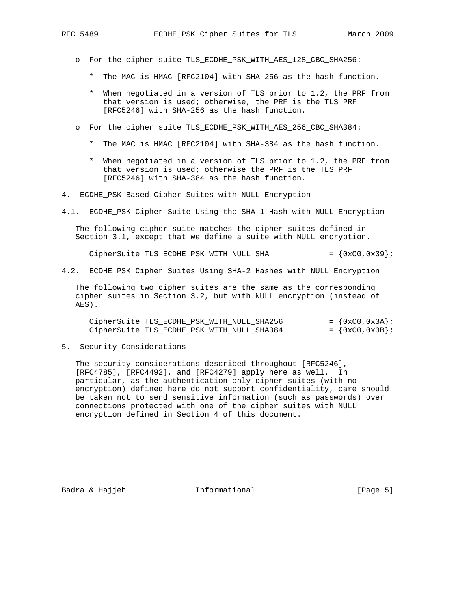- o For the cipher suite TLS\_ECDHE\_PSK\_WITH\_AES\_128\_CBC\_SHA256:
	- \* The MAC is HMAC [RFC2104] with SHA-256 as the hash function.
	- \* When negotiated in a version of TLS prior to 1.2, the PRF from that version is used; otherwise, the PRF is the TLS PRF [RFC5246] with SHA-256 as the hash function.
- o For the cipher suite TLS\_ECDHE\_PSK\_WITH\_AES\_256\_CBC\_SHA384:
	- \* The MAC is HMAC [RFC2104] with SHA-384 as the hash function.
	- \* When negotiated in a version of TLS prior to 1.2, the PRF from that version is used; otherwise the PRF is the TLS PRF [RFC5246] with SHA-384 as the hash function.
- 4. ECDHE\_PSK-Based Cipher Suites with NULL Encryption
- 4.1. ECDHE\_PSK Cipher Suite Using the SHA-1 Hash with NULL Encryption

 The following cipher suite matches the cipher suites defined in Section 3.1, except that we define a suite with NULL encryption.

CipherSuite TLS\_ECDHE\_PSK\_WITH\_NULL\_SHA  $= \{0xC0, 0x39\}$ 

4.2. ECDHE\_PSK Cipher Suites Using SHA-2 Hashes with NULL Encryption

 The following two cipher suites are the same as the corresponding cipher suites in Section 3.2, but with NULL encryption (instead of AES).

| CipherSuite TLS ECDHE PSK WITH NULL SHA256 |  |  |  | $= \{0xC0, 0x3A\}$ |  |
|--------------------------------------------|--|--|--|--------------------|--|
| CipherSuite TLS ECDHE PSK WITH NULL SHA384 |  |  |  | $= \{0xC0, 0x3B\}$ |  |

5. Security Considerations

 The security considerations described throughout [RFC5246], [RFC4785], [RFC4492], and [RFC4279] apply here as well. In particular, as the authentication-only cipher suites (with no encryption) defined here do not support confidentiality, care should be taken not to send sensitive information (such as passwords) over connections protected with one of the cipher suites with NULL encryption defined in Section 4 of this document.

Badra & Hajjeh **Informational Informational** [Page 5]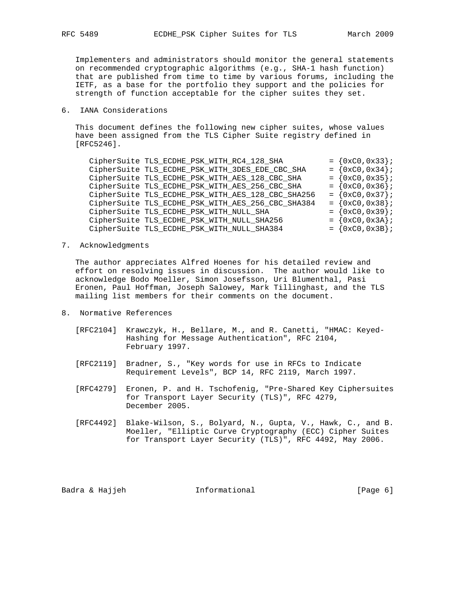Implementers and administrators should monitor the general statements on recommended cryptographic algorithms (e.g., SHA-1 hash function) that are published from time to time by various forums, including the IETF, as a base for the portfolio they support and the policies for strength of function acceptable for the cipher suites they set.

## 6. IANA Considerations

 This document defines the following new cipher suites, whose values have been assigned from the TLS Cipher Suite registry defined in [RFC5246].

|  | CipherSuite TLS_ECDHE_PSK_WITH_RC4_128_SHA        |  | $= \{0xC0, 0x33\}$   |  |
|--|---------------------------------------------------|--|----------------------|--|
|  | CipherSuite TLS_ECDHE_PSK_WITH_3DES_EDE_CBC_SHA   |  | $= \{0xC0, 0x34\}$   |  |
|  | CipherSuite TLS_ECDHE_PSK_WITH_AES_128_CBC_SHA    |  | $= \{0xC0, 0x35\}$   |  |
|  | CipherSuite TLS_ECDHE_PSK_WITH_AES_256_CBC_SHA    |  | $= \{0xC0, 0x36\}$   |  |
|  | CipherSuite TLS_ECDHE_PSK_WITH_AES_128_CBC_SHA256 |  | $= \{0xC0, 0x37\}$ ; |  |
|  | CipherSuite TLS_ECDHE_PSK_WITH_AES_256_CBC_SHA384 |  | $= \{0xC0, 0x38\}$   |  |
|  | CipherSuite TLS_ECDHE_PSK_WITH_NULL_SHA           |  | $= \{0xC0, 0x39\}$   |  |
|  | CipherSuite TLS_ECDHE_PSK_WITH_NULL_SHA256        |  | $= \{0xC0, 0x3A\}$   |  |
|  | CipherSuite TLS_ECDHE_PSK_WITH_NULL_SHA384        |  | $= \{0xC0, 0x3B\}$   |  |
|  |                                                   |  |                      |  |

## 7. Acknowledgments

 The author appreciates Alfred Hoenes for his detailed review and effort on resolving issues in discussion. The author would like to acknowledge Bodo Moeller, Simon Josefsson, Uri Blumenthal, Pasi Eronen, Paul Hoffman, Joseph Salowey, Mark Tillinghast, and the TLS mailing list members for their comments on the document.

- 8. Normative References
	- [RFC2104] Krawczyk, H., Bellare, M., and R. Canetti, "HMAC: Keyed- Hashing for Message Authentication", RFC 2104, February 1997.
	- [RFC2119] Bradner, S., "Key words for use in RFCs to Indicate Requirement Levels", BCP 14, RFC 2119, March 1997.
	- [RFC4279] Eronen, P. and H. Tschofenig, "Pre-Shared Key Ciphersuites for Transport Layer Security (TLS)", RFC 4279, December 2005.
	- [RFC4492] Blake-Wilson, S., Bolyard, N., Gupta, V., Hawk, C., and B. Moeller, "Elliptic Curve Cryptography (ECC) Cipher Suites for Transport Layer Security (TLS)", RFC 4492, May 2006.

Badra & Hajjeh **Informational** [Page 6]